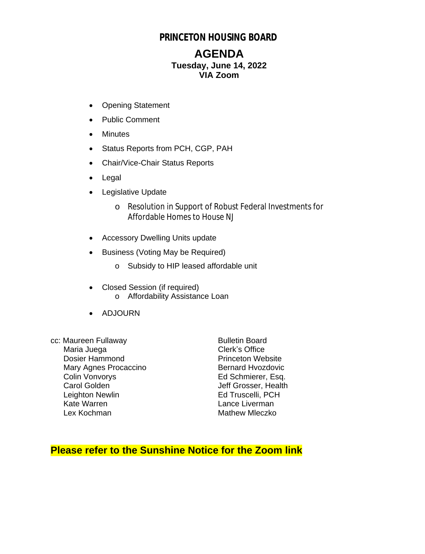### **PRINCETON HOUSING BOARD**

### **AGENDA Tuesday, June 14, 2022 VIA Zoom**

- Opening Statement
- Public Comment
- Minutes
- Status Reports from PCH, CGP, PAH
- Chair/Vice-Chair Status Reports
- Legal
- Legislative Update
	- o Resolution in Support of Robust Federal Investments for Affordable Homes to House NJ
- Accessory Dwelling Units update
- Business (Voting May be Required)
	- o Subsidy to HIP leased affordable unit
- Closed Session (if required) o Affordability Assistance Loan
- ADJOURN
- cc: Maureen Fullaway Bulletin Board Maria Juega<br>
Dosier Hammond<br>
Dosier Hammond<br>
Clerk's Office Dosier Hammond Mary Agnes Procaccino<br>
Colin Vonvorys
Bernard Hvozdovic
Bolin Vonvorys
Bernard Hvozdovic
Bolin Vonvorys
Bolin Vonvorys
Bolin Vonvorys
Bolin Vonvorys
Bolin Vonvorys
Bolin Vonvorys
Bolin Vonvorys
Bolin Vonvorys
Bolin Vonvory Colin Vonvorys **Ed Schmierer, Esq.**<br>Carol Golden **Ed Schmierer, Esq.**<br>Jeff Grosser. Health Leighton Newlin<br>
Kate Warren 
Ed Truscelli, PCH<br>
Kate Warren 
Eance Liverman Kate Warren **Europe Communist Control**<br>
Lance Liverman<br>
Lex Kochman **Communist Communist Communist Communist Communist Communist Communist Communist Communist Communist**

Jeff Grosser, Health **Mathew Mleczko** 

### **Please refer to the Sunshine Notice for the Zoom link**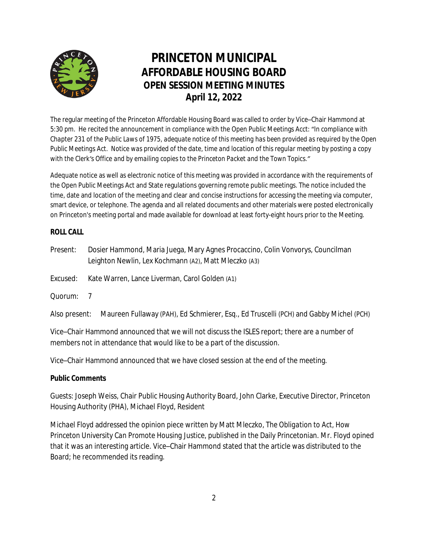

# **PRINCETON MUNICIPAL AFFORDABLE HOUSING BOARD OPEN SESSION MEETING MINUTES April 12, 2022**

The regular meeting of the Princeton Affordable Housing Board was called to order by Vice–Chair Hammond at 5:30 pm. He recited the announcement in compliance with the Open Public Meetings Acct: "*In compliance with Chapter 231 of the Public Laws of 1975, adequate notice of this meeting has been provided as required by the Open Public Meetings Act. Notice was provided of the date, time and location of this regular meeting by posting a copy with the Clerk's Office and by emailing copies to the Princeton Packet and the Town Topics."*

Adequate notice as well as electronic notice of this meeting was provided in accordance with the requirements of the Open Public Meetings Act and State regulations governing remote public meetings. The notice included the time, date and location of the meeting and clear and concise instructions for accessing the meeting via computer, smart device, or telephone. The agenda and all related documents and other materials were posted electronically on Princeton's meeting portal and made available for download at least forty-eight hours prior to the Meeting.

#### **ROLL CALL**

| Present: | Dosier Hammond, Maria Juega, Mary Agnes Procaccino, Colin Vonvorys, Councilman |
|----------|--------------------------------------------------------------------------------|
|          | Leighton Newlin, Lex Kochmann (A2), Matt Mleczko (A3)                          |

- Excused: Kate Warren, Lance Liverman, Carol Golden (A1)
- Quorum: 7

Also present: Maureen Fullaway (PAH), Ed Schmierer, Esq., Ed Truscelli (PCH) and Gabby Michel (PCH)

Vice–Chair Hammond announced that we will not discuss the ISLES report; there are a number of members not in attendance that would like to be a part of the discussion.

Vice–Chair Hammond announced that we have closed session at the end of the meeting.

#### **Public Comments**

*Guests:* Joseph Weiss, Chair Public Housing Authority Board, John Clarke, Executive Director, Princeton Housing Authority (PHA), Michael Floyd, Resident

*Michael Floyd* addressed the opinion piece written by Matt Mleczko, *The Obligation to Act, How Princeton University Can Promote Housing Justice*, published in the Daily Princetonian. Mr. Floyd opined that it was an interesting article. Vice–Chair Hammond stated that the article was distributed to the Board; he recommended its reading.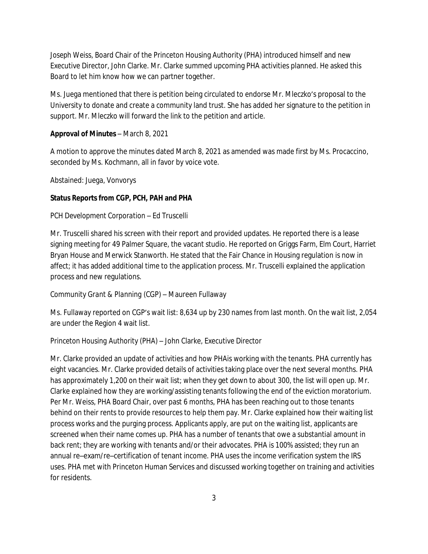*Joseph Weiss*, Board Chair of the Princeton Housing Authority (PHA) introduced himself and new Executive Director, John Clarke. Mr. Clarke summed upcoming PHA activities planned. He asked this Board to let him know how we can partner together.

Ms. Juega mentioned that there is petition being circulated to endorse Mr. Mleczko's proposal to the University to donate and create a community land trust. She has added her signature to the petition in support. Mr. Mleczko will forward the link to the petition and article.

#### **Approval of Minutes** – March 8, 2021

A motion to approve the minutes dated March 8, 2021 as amended was made first by Ms. Procaccino, seconded by Ms. Kochmann, all in favor by voice vote.

Abstained: Juega, Vonvorys

#### **Status Reports from CGP, PCH, PAH and PHA**

#### *PCH Development Corporation* – Ed Truscelli

Mr. Truscelli shared his screen with their report and provided updates. He reported there is a lease signing meeting for 49 Palmer Square, the vacant studio. He reported on Griggs Farm, Elm Court, Harriet Bryan House and Merwick Stanworth. He stated that the Fair Chance in Housing regulation is now in affect; it has added additional time to the application process. Mr. Truscelli explained the application process and new regulations.

#### *Community Grant & Planning* (CGP) – Maureen Fullaway

Ms. Fullaway reported on CGP's wait list: 8,634 up by 230 names from last month. On the wait list, 2,054 are under the Region 4 wait list.

#### *Princeton Housing Authority* (PHA) – John Clarke, Executive Director

Mr. Clarke provided an update of activities and how PHAis working with the tenants. PHA currently has eight vacancies. Mr. Clarke provided details of activities taking place over the next several months. PHA has approximately 1,200 on their wait list; when they get down to about 300, the list will open up. Mr. Clarke explained how they are working/assisting tenants following the end of the eviction moratorium. Per Mr. Weiss, PHA Board Chair, over past 6 months, PHA has been reaching out to those tenants behind on their rents to provide resources to help them pay. Mr. Clarke explained how their waiting list process works and the purging process. Applicants apply, are put on the waiting list, applicants are screened when their name comes up. PHA has a number of tenants that owe a substantial amount in back rent; they are working with tenants and/or their advocates. PHA is 100% assisted; they run an annual re–exam/re–certification of tenant income. PHA uses the income verification system the IRS uses. PHA met with Princeton Human Services and discussed working together on training and activities for residents.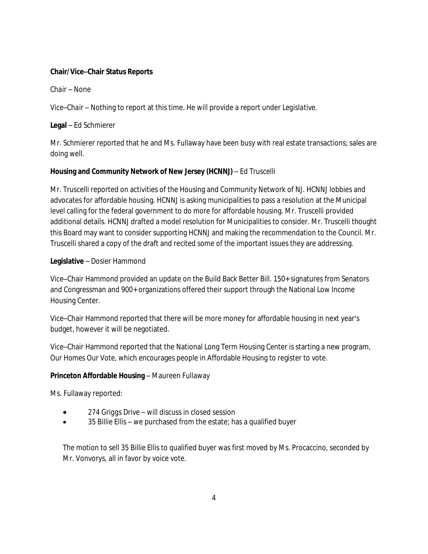#### **Chair/Vice–Chair Status Reports**

*Chair –* None

*Vice–Chair* – Nothing to report at this time. He will provide a report under *Legislative*.

#### **Legal** – Ed Schmierer

Mr. Schmierer reported that he and Ms. Fullaway have been busy with real estate transactions; sales are doing well.

#### **Housing and Community Network of New Jersey (HCNNJ)** – Ed Truscelli

Mr. Truscelli reported on activities of the Housing and Community Network of NJ. HCNNJ lobbies and advocates for affordable housing. HCNNJ is asking municipalities to pass a resolution at the Municipal level calling for the federal government to do more for affordable housing. Mr. Truscelli provided additional details. HCNNJ drafted a model resolution for Municipalities to consider. Mr. Truscelli thought this Board may want to consider supporting HCNNJ and making the recommendation to the Council. Mr. Truscelli shared a copy of the draft and recited some of the important issues they are addressing.

#### **Legislative** – Dosier Hammond

Vice–Chair Hammond provided an update on the Build Back Better Bill. 150+ signatures from Senators and Congressman and 900+ organizations offered their support through the National Low Income Housing Center.

Vice–Chair Hammond reported that there will be more money for affordable housing in next year's budget, however it will be negotiated.

Vice–Chair Hammond reported that the National Long Term Housing Center is starting a new program, *Our Homes Our Vote*, which encourages people in Affordable Housing to register to vote.

#### **Princeton Affordable Housing** – Maureen Fullaway

Ms. Fullaway reported:

- *274 Griggs Drive* will discuss in closed session
- *35 Billie Ellis* we purchased from the estate; has a qualified buyer

The motion to sell *35 Billie Ellis* to qualified buyer was first moved by Ms. Procaccino, seconded by Mr. Vonvorys, all in favor by voice vote.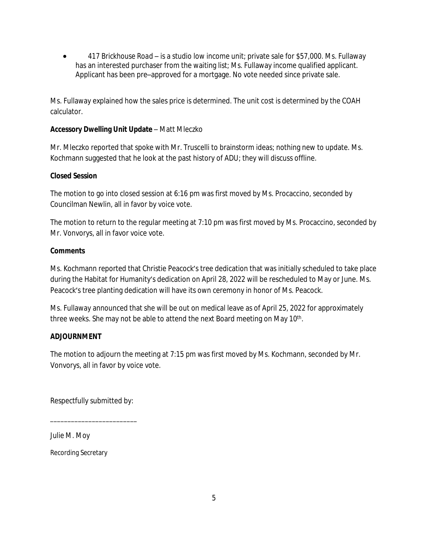*417 Brickhouse Road* – is a studio low income unit; private sale for \$57,000. Ms. Fullaway has an interested purchaser from the waiting list; Ms. Fullaway income qualified applicant. Applicant has been pre–approved for a mortgage. No vote needed since private sale.

Ms. Fullaway explained how the sales price is determined. The unit cost is determined by the COAH calculator.

#### **Accessory Dwelling Unit Update** – Matt Mleczko

Mr. Mleczko reported that spoke with Mr. Truscelli to brainstorm ideas; nothing new to update. Ms. Kochmann suggested that he look at the past history of ADU; they will discuss offline.

#### **Closed Session**

The motion to go into closed session at 6:16 pm was first moved by Ms. Procaccino, seconded by Councilman Newlin, all in favor by voice vote.

The motion to return to the regular meeting at 7:10 pm was first moved by Ms. Procaccino, seconded by Mr. Vonvorys, all in favor voice vote.

#### **Comments**

Ms. Kochmann reported that Christie Peacock's tree dedication that was initially scheduled to take place during the Habitat for Humanity's dedication on April 28, 2022 will be rescheduled to May or June. Ms. Peacock's tree planting dedication will have its own ceremony in honor of Ms. Peacock.

Ms. Fullaway announced that she will be out on medical leave as of April 25, 2022 for approximately three weeks. She may not be able to attend the next Board meeting on May 10<sup>th</sup>.

#### **ADJOURNMENT**

The motion to adjourn the meeting at 7:15 pm was first moved by Ms. Kochmann, seconded by Mr. Vonvorys, all in favor by voice vote.

Respectfully submitted by:

\_\_\_\_\_\_\_\_\_\_\_\_\_\_\_\_\_\_\_\_\_\_\_\_\_

*Julie M. Moy*

Recording Secretary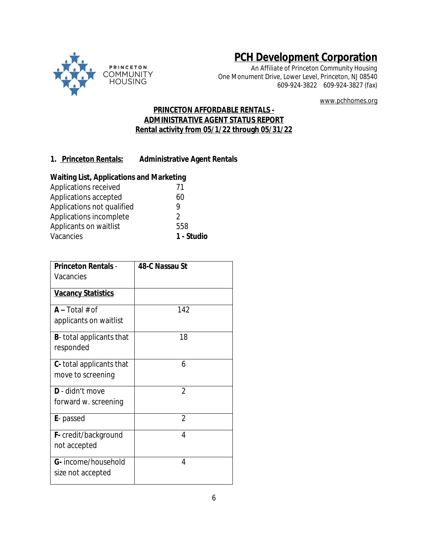

# **PCH Development Corporation**

*An Affiliate of Princeton Community Housing* One Monument Drive, Lower Level, Princeton, NJ 08540 609-924-3822 609-924-3827 (fax)

www.pchhomes.org

#### **PRINCETON AFFORDABLE RENTALS - ADMINISTRATIVE AGENT STATUS REPORT Rental activity from 05/1/22 through 05/31/22**

#### **1. Princeton Rentals: Administrative Agent Rentals**

#### **Waiting List, Applications and Marketing**

| Vacancies                  | 1 - Studio |
|----------------------------|------------|
| Applicants on waitlist     | 558        |
| Applications incomplete    | 2          |
| Applications not qualified |            |
| Applications accepted      | 60         |
| Applications received      | 71         |

| <b>Princeton Rentals -</b>       | 48-C Nassau St |
|----------------------------------|----------------|
|                                  |                |
| Vacancies                        |                |
| <b>Vacancy Statistics</b>        |                |
|                                  |                |
| $A - Total # of$                 | 142            |
| applicants on waitlist           |                |
|                                  |                |
| <b>B</b> -total applicants that  | 18             |
| responded                        |                |
|                                  | 6              |
| <b>C</b> - total applicants that |                |
| move to screening                |                |
| D - didn't move                  | $\overline{2}$ |
| forward w. screening             |                |
|                                  |                |
| <b>E</b> -passed                 | $\overline{2}$ |
| <b>F</b> - credit/background     | 4              |
|                                  |                |
| not accepted                     |                |
| G- income/household              | 4              |
| size not accepted                |                |
|                                  |                |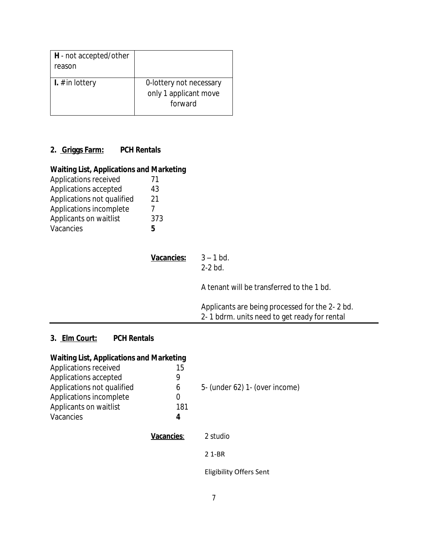| H - not accepted/other<br>reason |                                                             |
|----------------------------------|-------------------------------------------------------------|
| <b>I.</b> $#$ in lottery         | 0-lottery not necessary<br>only 1 applicant move<br>forward |

## **2. Griggs Farm: PCH Rentals**

## **Waiting List, Applications and Marketing**

| Applications received      | 71  |
|----------------------------|-----|
| Applications accepted      | 43  |
| Applications not qualified | 21  |
| Applications incomplete    |     |
| Applicants on waitlist     | 373 |
| Vacancies                  | 5   |

| Vacancies: | $3 - 1$ bd.<br>$2-2$ bd.                       |
|------------|------------------------------------------------|
|            | A tenant will be transferred to the 1 bd.      |
|            | Applicants are being processed for the 2-2 bd. |

### 2- 1 bdrm. units need to get ready for rental

### **3. Elm Court: PCH Rentals**

| <b>Waiting List, Applications and Marketing</b> |            |                                |
|-------------------------------------------------|------------|--------------------------------|
| Applications received                           | 15         |                                |
| Applications accepted                           | 9          |                                |
| Applications not qualified                      | 6          | 5- (under 62) 1- (over income) |
| Applications incomplete                         | 0          |                                |
| Applicants on waitlist                          | 181        |                                |
| Vacancies                                       | 4          |                                |
|                                                 | Vacancies: | 2 studio                       |
|                                                 |            | 2 1-BR                         |
|                                                 |            |                                |

Eligibility Offers Sent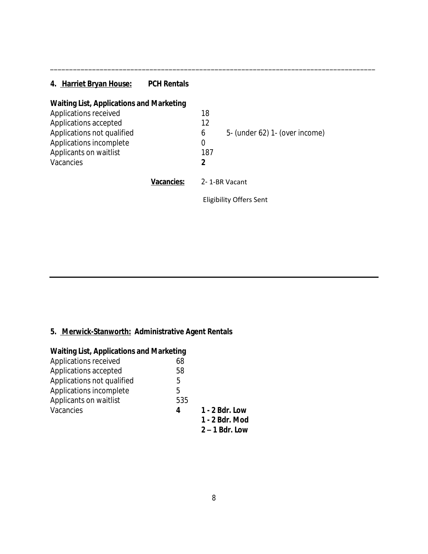## **4. Harriet Bryan House: PCH Rentals**

| <b>Waiting List, Applications and Marketing</b> |            |     |                                |
|-------------------------------------------------|------------|-----|--------------------------------|
| Applications received                           |            | 18  |                                |
| Applications accepted                           |            | 12  |                                |
| Applications not qualified                      |            | 6   | 5- (under 62) 1- (over income) |
| Applications incomplete                         |            | 0   |                                |
| Applicants on waitlist                          |            | 187 |                                |
| Vacancies                                       |            | 2   |                                |
|                                                 | Vacancies: |     | 2-1-BR Vacant                  |
|                                                 |            |     | Eligibility Offers Sent        |

\_\_\_\_\_\_\_\_\_\_\_\_\_\_\_\_\_\_\_\_\_\_\_\_\_\_\_\_\_\_\_\_\_\_\_\_\_\_\_\_\_\_\_\_\_\_\_\_\_\_\_\_\_\_\_\_\_\_\_\_\_\_\_\_\_\_\_\_\_\_\_\_\_\_\_\_\_\_\_\_\_\_\_\_\_

## **5. Merwick-Stanworth: Administrative Agent Rentals**

| <b>Waiting List, Applications and Marketing</b> |     |                  |  |  |  |
|-------------------------------------------------|-----|------------------|--|--|--|
| Applications received                           | 68  |                  |  |  |  |
| Applications accepted                           | 58  |                  |  |  |  |
| Applications not qualified                      | 5   |                  |  |  |  |
| Applications incomplete                         | 5   |                  |  |  |  |
| Applicants on waitlist                          | 535 |                  |  |  |  |
| Vacancies                                       | 4   | 1 - 2 Bdr. Low   |  |  |  |
|                                                 |     | 1 - 2 Bdr. Mod   |  |  |  |
|                                                 |     | $2 - 1$ Bdr. Low |  |  |  |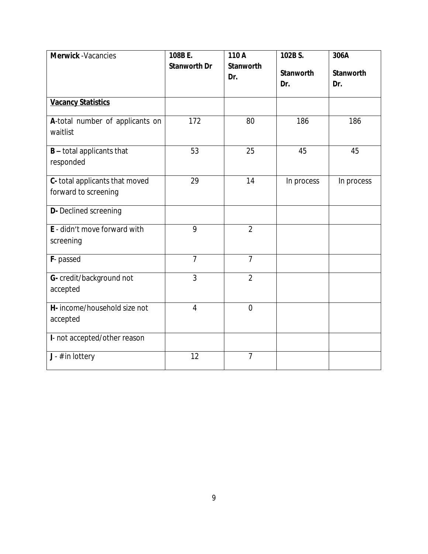| <b>Merwick</b> - Vacancies                             | 108B E.             | 110 A                   | 102B S.                 | 306A             |
|--------------------------------------------------------|---------------------|-------------------------|-------------------------|------------------|
|                                                        | <b>Stanworth Dr</b> | <b>Stanworth</b><br>Dr. | <b>Stanworth</b><br>Dr. | Stanworth<br>Dr. |
| <b>Vacancy Statistics</b>                              |                     |                         |                         |                  |
| A-total number of applicants on<br>waitlist            | 172                 | 80                      | 186                     | 186              |
| <b>B</b> - total applicants that<br>responded          | 53                  | 25                      | 45                      | 45               |
| C- total applicants that moved<br>forward to screening | 29                  | 14                      | In process              | In process       |
| <b>D-</b> Declined screening                           |                     |                         |                         |                  |
| E - didn't move forward with<br>screening              | 9                   | $\overline{2}$          |                         |                  |
| F-passed                                               | $\overline{7}$      | $\overline{7}$          |                         |                  |
| G- credit/background not<br>accepted                   | $\overline{3}$      | $\overline{2}$          |                         |                  |
| H- income/household size not<br>accepted               | $\overline{4}$      | $\overline{0}$          |                         |                  |
| I- not accepted/other reason                           |                     |                         |                         |                  |
| $J - #$ in lottery                                     | 12                  | $\overline{7}$          |                         |                  |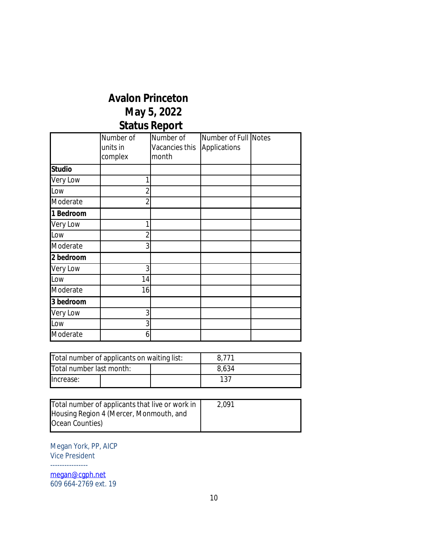# **Avalon Princeton May 5, 2022 Status Report**

|               | Number of<br>units in | Number of<br>Vacancies this | Number of Full Notes<br>Applications |  |
|---------------|-----------------------|-----------------------------|--------------------------------------|--|
|               | complex               | month                       |                                      |  |
| <b>Studio</b> |                       |                             |                                      |  |
| Very Low      |                       |                             |                                      |  |
| Low           | 2                     |                             |                                      |  |
| Moderate      | 2                     |                             |                                      |  |
| 1 Bedroom     |                       |                             |                                      |  |
| Very Low      |                       |                             |                                      |  |
| Low           |                       |                             |                                      |  |
| Moderate      | 3                     |                             |                                      |  |
| 2 bedroom     |                       |                             |                                      |  |
| Very Low      | 3                     |                             |                                      |  |
| Low           | 14                    |                             |                                      |  |
| Moderate      | 16                    |                             |                                      |  |
| 3 bedroom     |                       |                             |                                      |  |
| Very Low      | 3                     |                             |                                      |  |
| Low           | 3                     |                             |                                      |  |
| Moderate      | 6                     |                             |                                      |  |

| Total number of applicants on waiting list: |  |       | 8.771 |  |
|---------------------------------------------|--|-------|-------|--|
| Total number last month:                    |  | 8,634 |       |  |
| llncrease:                                  |  |       | 137   |  |

| Total number of applicants that live or work in | 2.091 |
|-------------------------------------------------|-------|
| Housing Region 4 (Mercer, Monmouth, and         |       |
| Ocean Counties)                                 |       |

Megan York, PP, AICP Vice President ----------------

[megan@cgph.net](mailto:megan@cgph.net) 609 664-2769 ext. 19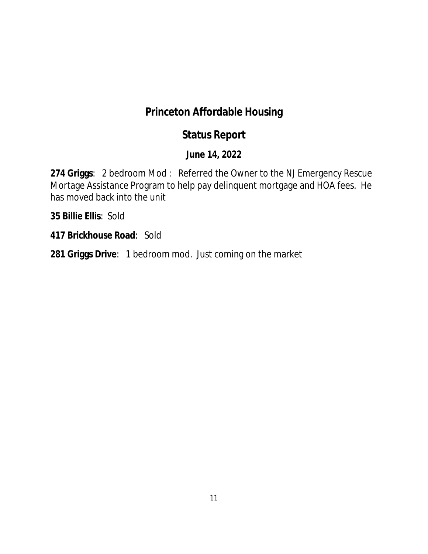# **Princeton Affordable Housing**

# **Status Report**

## **June 14, 2022**

**274 Griggs**: 2 bedroom Mod : Referred the Owner to the NJ Emergency Rescue Mortage Assistance Program to help pay delinquent mortgage and HOA fees. He has moved back into the unit

**35 Billie Ellis**: Sold

**417 Brickhouse Road**: Sold

**281 Griggs Drive**: 1 bedroom mod. Just coming on the market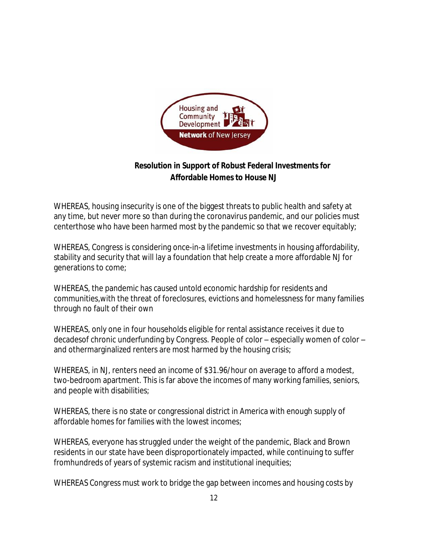

### **Resolution in Support of Robust Federal Investments for Affordable Homes to House NJ**

WHEREAS, housing insecurity is one of the biggest threats to public health and safety at any time, but never more so than during the coronavirus pandemic, and our policies must centerthose who have been harmed most by the pandemic so that we recover equitably;

WHEREAS, Congress is considering once-in-a lifetime investments in housing affordability, stability and security that will lay a foundation that help create a more affordable NJ for generations to come;

WHEREAS, the pandemic has caused untold economic hardship for residents and communities,with the threat of foreclosures, evictions and homelessness for many families through no fault of their own

WHEREAS, only one in four households eligible for rental assistance receives it due to decadesof chronic underfunding by Congress. People of color – especially women of color – and othermarginalized renters are most harmed by the housing crisis;

WHEREAS, in NJ, renters need an income of \$31.96/hour on average to afford a modest, two-bedroom apartment. This is far above the incomes of many working families, seniors, and people with disabilities;

WHEREAS, there is no state or congressional district in America with enough supply of affordable homes for families with the lowest incomes;

WHEREAS, everyone has struggled under the weight of the pandemic, Black and Brown residents in our state have been disproportionately impacted, while continuing to suffer fromhundreds of years of systemic racism and institutional inequities;

WHEREAS Congress must work to bridge the gap between incomes and housing costs by